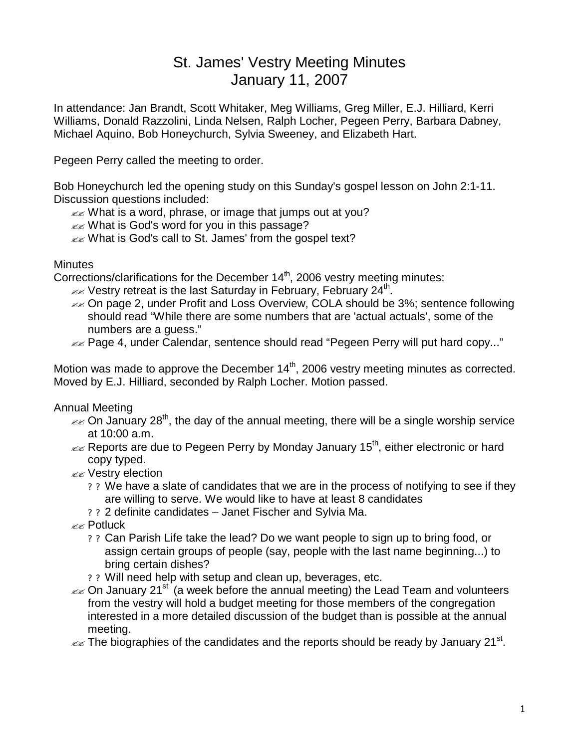## St. James' Vestry Meeting Minutes January 11, 2007

In attendance: Jan Brandt, Scott Whitaker, Meg Williams, Greg Miller, E.J. Hilliard, Kerri Williams, Donald Razzolini, Linda Nelsen, Ralph Locher, Pegeen Perry, Barbara Dabney, Michael Aquino, Bob Honeychurch, Sylvia Sweeney, and Elizabeth Hart.

Pegeen Perry called the meeting to order.

Bob Honeychurch led the opening study on this Sunday's gospel lesson on John 2:1-11. Discussion questions included:

- $\mathbb{Z}$  What is a word, phrase, or image that jumps out at you?
- $\ll$  What is God's word for you in this passage?

**EXECUTE:** What is God's call to St. James' from the gospel text?

**Minutes** 

Corrections/clarifications for the December  $14<sup>th</sup>$ , 2006 vestry meeting minutes:

- $\ll$  Vestry retreat is the last Saturday in February, February 24<sup>th</sup>.
- $\approx$  On page 2, under Profit and Loss Overview, COLA should be 3%; sentence following should read "While there are some numbers that are 'actual actuals', some of the numbers are a guess."
- **EXECT Page 4, under Calendar, sentence should read "Pegeen Perry will put hard copy..."**

Motion was made to approve the December 14<sup>th</sup>, 2006 vestry meeting minutes as corrected. Moved by E.J. Hilliard, seconded by Ralph Locher. Motion passed.

Annual Meeting

- $\epsilon$  On January 28<sup>th</sup>, the day of the annual meeting, there will be a single worship service at 10:00 a.m.
- $\ll$  Reports are due to Pegeen Perry by Monday January 15<sup>th</sup>, either electronic or hard copy typed.
- **EXE** Vestry election
	- ? ? We have a slate of candidates that we are in the process of notifying to see if they are willing to serve. We would like to have at least 8 candidates
	- ? ? 2 definite candidates Janet Fischer and Sylvia Ma.

 $\mathbb{Z}$  Potluck

- ? ? Can Parish Life take the lead? Do we want people to sign up to bring food, or assign certain groups of people (say, people with the last name beginning...) to bring certain dishes?
- ? ? Will need help with setup and clean up, beverages, etc.
- $\ll$  On January 21<sup>st</sup> (a week before the annual meeting) the Lead Team and volunteers from the vestry will hold a budget meeting for those members of the congregation interested in a more detailed discussion of the budget than is possible at the annual meeting.

 $\epsilon$  The biographies of the candidates and the reports should be ready by January 21st.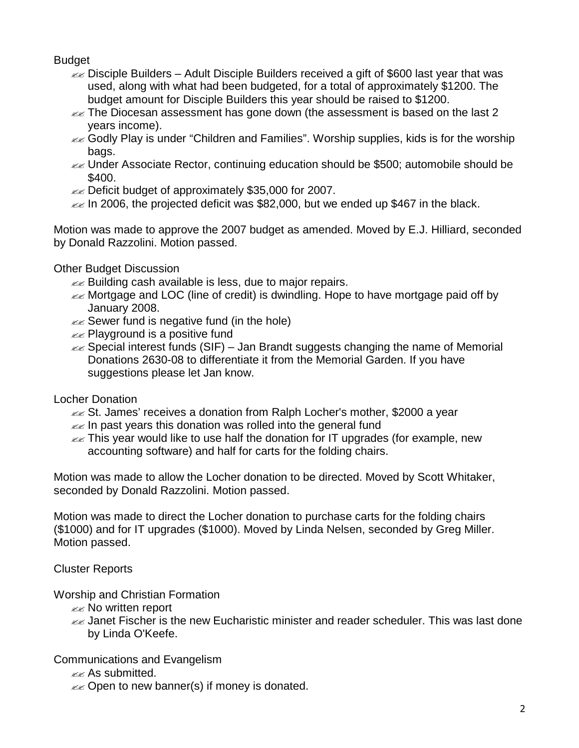## Budget

- $\approx$  Disciple Builders Adult Disciple Builders received a gift of \$600 last year that was used, along with what had been budgeted, for a total of approximately \$1200. The budget amount for Disciple Builders this year should be raised to \$1200.
- $\epsilon$  The Diocesan assessment has gone down (the assessment is based on the last 2 years income).
- $\ll$  Godly Play is under "Children and Families". Worship supplies, kids is for the worship bags.
- $\ll$  Under Associate Rector, continuing education should be \$500; automobile should be \$400.
- $\ll$  Deficit budget of approximately \$35,000 for 2007.
- $\approx$  In 2006, the projected deficit was \$82,000, but we ended up \$467 in the black.

Motion was made to approve the 2007 budget as amended. Moved by E.J. Hilliard, seconded by Donald Razzolini. Motion passed.

Other Budget Discussion

- $\ll$  Building cash available is less, due to major repairs.
- $\ll$  Mortgage and LOC (line of credit) is dwindling. Hope to have mortgage paid off by January 2008.
- $\ll$  Sewer fund is negative fund (in the hole)
- $\mathbb{Z}$  Playground is a positive fund
- $\ll$  Special interest funds (SIF) Jan Brandt suggests changing the name of Memorial Donations 2630-08 to differentiate it from the Memorial Garden. If you have suggestions please let Jan know.

Locher Donation

- ≤≤ St. James' receives a donation from Ralph Locher's mother, \$2000 a year
- $\ll$  In past years this donation was rolled into the general fund
- $\approx$  This year would like to use half the donation for IT upgrades (for example, new accounting software) and half for carts for the folding chairs.

Motion was made to allow the Locher donation to be directed. Moved by Scott Whitaker, seconded by Donald Razzolini. Motion passed.

Motion was made to direct the Locher donation to purchase carts for the folding chairs (\$1000) and for IT upgrades (\$1000). Moved by Linda Nelsen, seconded by Greg Miller. Motion passed.

Cluster Reports

Worship and Christian Formation

- $\ll$  No written report
- $\ll$  Janet Fischer is the new Eucharistic minister and reader scheduler. This was last done by Linda O'Keefe.

Communications and Evangelism

- $\ll$  As submitted.
- $\mathbb{Z}$  Open to new banner(s) if money is donated.